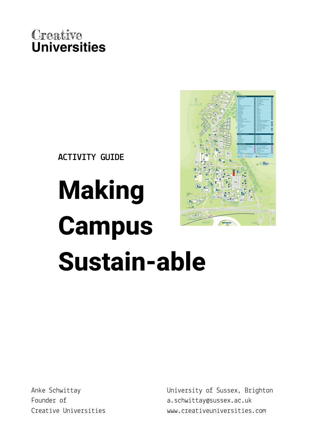

**ACTIVITY GUIDE**

# **Making Campus Sustain-able**

Anke Schwittay Founder of Creative Universities University of Sussex, Brighton a.schwittay@sussex.ac.uk www.creativeuniversities.com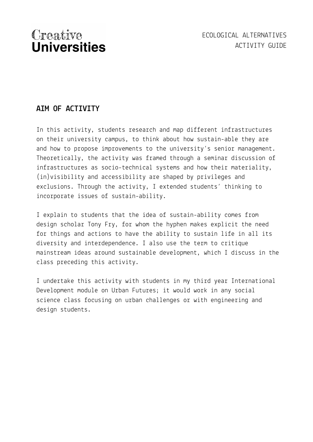## **AIM OF ACTIVITY**

In this activity, students research and map different infrastructures on their university campus, to think about how sustain-able they are and how to propose improvements to the university's senior management. Theoretically, the activity was framed through a seminar discussion of infrastructures as socio-technical systems and how their materiality, (in)visibility and accessibility are shaped by privileges and exclusions. Through the activity, I extended students' thinking to incorporate issues of sustain-ability.

I explain to students that the idea of sustain-ability comes from design scholar Tony Fry, for whom the hyphen makes explicit the need for things and actions to have the ability to sustain life in all its diversity and interdependence. I also use the term to critique mainstream ideas around sustainable development, which I discuss in the class preceding this activity.

I undertake this activity with students in my third year International Development module on Urban Futures; it would work in any social science class focusing on urban challenges or with engineering and design students.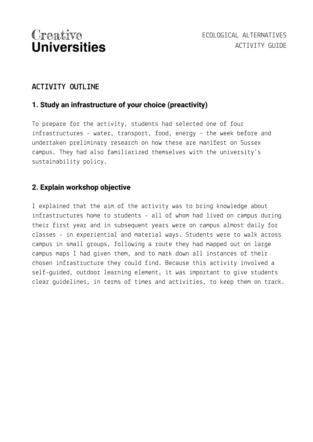## **ACTIVITY OUTLINE**

#### **1. Study an infrastructure of your choice (preactivity)**

To prepare for the activity, students had selected one of four infrastructures - water, transport, food, energy – the week before and undertaken preliminary research on how these are manifest on Sussex campus. They had also familiarized themselves with the university's sustainability policy.

#### **2. Explain workshop objective**

I explained that the aim of the activity was to bring knowledge about infrastructures home to students - all of whom had lived on campus during their first year and in subsequent years were on campus almost daily for classes - in experiential and material ways. Students were to walk across campus in small groups, following a route they had mapped out on large campus maps I had given them, and to mark down all instances of their chosen infrastructure they could find. Because this activity involved a self-guided, outdoor learning element, it was important to give students clear guidelines, in terms of times and activities, to keep them on track.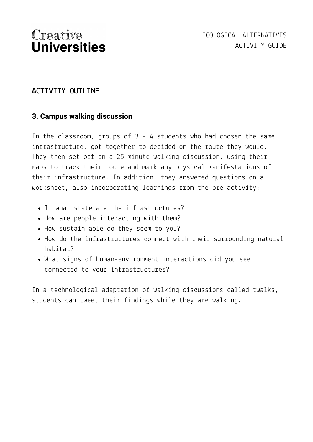## **ACTIVITY OUTLINE**

#### **3. Campus walking discussion**

In the classroom, groups of 3 - 4 students who had chosen the same infrastructure, got together to decided on the route they would. They then set off on a 25 minute walking discussion, using their maps to track their route and mark any physical manifestations of their infrastructure. In addition, they answered questions on a worksheet, also incorporating learnings from the pre-activity:

- In what state are the infrastructures?
- How are people interacting with them?
- How sustain-able do they seem to you?
- How do the infrastructures connect with their surrounding natural habitat?
- What signs of human-environment interactions did you see connected to your infrastructures?

In a technological adaptation of walking discussions called twalks, students can tweet their findings while they are walking.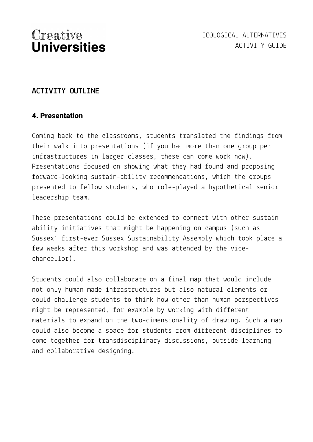## **ACTIVITY OUTLINE**

#### **4. Presentation**

Coming back to the classrooms, students translated the findings from their walk into presentations (if you had more than one group per infrastructures in larger classes, these can come work now). Presentations focused on showing what they had found and proposing forward-looking sustain-ability recommendations, which the groups presented to fellow students, who role-played a hypothetical senior leadership team.

These presentations could be extended to connect with other sustainability initiatives that might be happening on campus (such as Sussex' first-ever Sussex Sustainability Assembly which took place a few weeks after this workshop and was attended by the vicechancellor).

Students could also collaborate on a final map that would include not only human-made infrastructures but also natural elements or could challenge students to think how other-than-human perspectives might be represented, for example by working with different materials to expand on the two-dimensionality of drawing. Such a map could also become a space for students from different disciplines to come together for transdisciplinary discussions, outside learning and collaborative designing.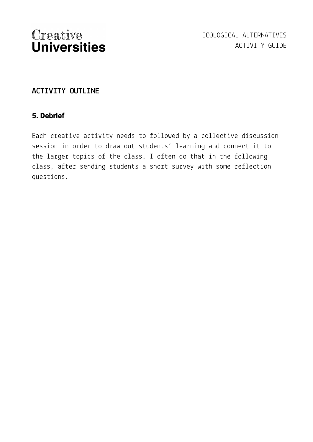## **ACTIVITY OUTLINE**

### **5. Debrief**

Each creative activity needs to followed by a collective discussion session in order to draw out students' learning and connect it to the larger topics of the class. I often do that in the following class, after sending students a short survey with some reflection questions.